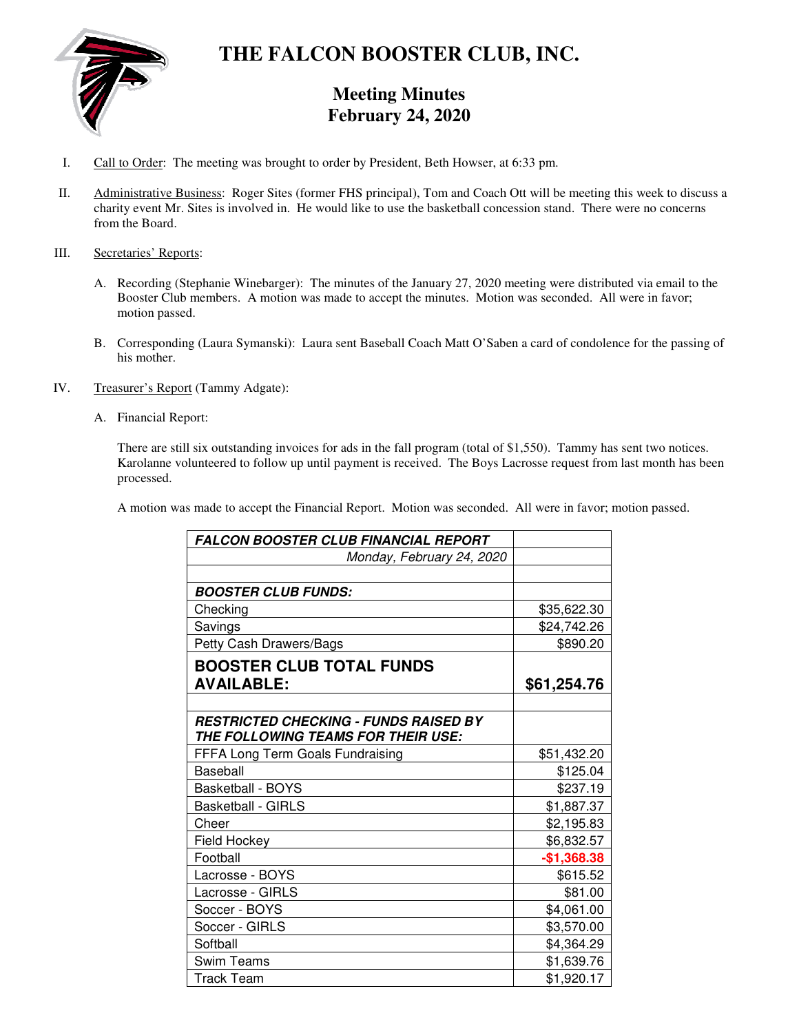

# **THE FALCON BOOSTER CLUB, INC.**

# **Meeting Minutes February 24, 2020**

- I. Call to Order: The meeting was brought to order by President, Beth Howser, at 6:33 pm.
- II. Administrative Business: Roger Sites (former FHS principal), Tom and Coach Ott will be meeting this week to discuss a charity event Mr. Sites is involved in. He would like to use the basketball concession stand. There were no concerns from the Board.

### III. Secretaries' Reports:

- A. Recording (Stephanie Winebarger): The minutes of the January 27, 2020 meeting were distributed via email to the Booster Club members. A motion was made to accept the minutes. Motion was seconded. All were in favor; motion passed.
- B. Corresponding (Laura Symanski): Laura sent Baseball Coach Matt O'Saben a card of condolence for the passing of his mother.
- IV. Treasurer's Report (Tammy Adgate):
	- A. Financial Report:

There are still six outstanding invoices for ads in the fall program (total of \$1,550). Tammy has sent two notices. Karolanne volunteered to follow up until payment is received. The Boys Lacrosse request from last month has been processed.

A motion was made to accept the Financial Report. Motion was seconded. All were in favor; motion passed.

| <b>FALCON BOOSTER CLUB FINANCIAL REPORT</b>  |              |
|----------------------------------------------|--------------|
| Monday, February 24, 2020                    |              |
|                                              |              |
| <b>BOOSTER CLUB FUNDS:</b>                   |              |
| Checking                                     | \$35,622.30  |
| Savings                                      | \$24,742.26  |
| Petty Cash Drawers/Bags                      | \$890.20     |
| <b>BOOSTER CLUB TOTAL FUNDS</b>              |              |
| <b>AVAILABLE:</b>                            | \$61,254.76  |
|                                              |              |
| <b>RESTRICTED CHECKING - FUNDS RAISED BY</b> |              |
| THE FOLLOWING TEAMS FOR THEIR USE:           |              |
| FFFA Long Term Goals Fundraising             | \$51,432.20  |
| Baseball                                     | \$125.04     |
| <b>Basketball - BOYS</b>                     | \$237.19     |
| <b>Basketball - GIRLS</b>                    | \$1,887.37   |
| Cheer                                        | \$2,195.83   |
| Field Hockey                                 | \$6,832.57   |
| Football                                     | $-$1,368.38$ |
| Lacrosse - BOYS                              | \$615.52     |
| Lacrosse - GIRLS                             | \$81.00      |
| Soccer - BOYS                                | \$4,061.00   |
| Soccer - GIRLS                               | \$3,570.00   |
| Softball                                     | \$4,364.29   |
| <b>Swim Teams</b>                            | \$1,639.76   |
| <b>Track Team</b>                            | \$1,920.17   |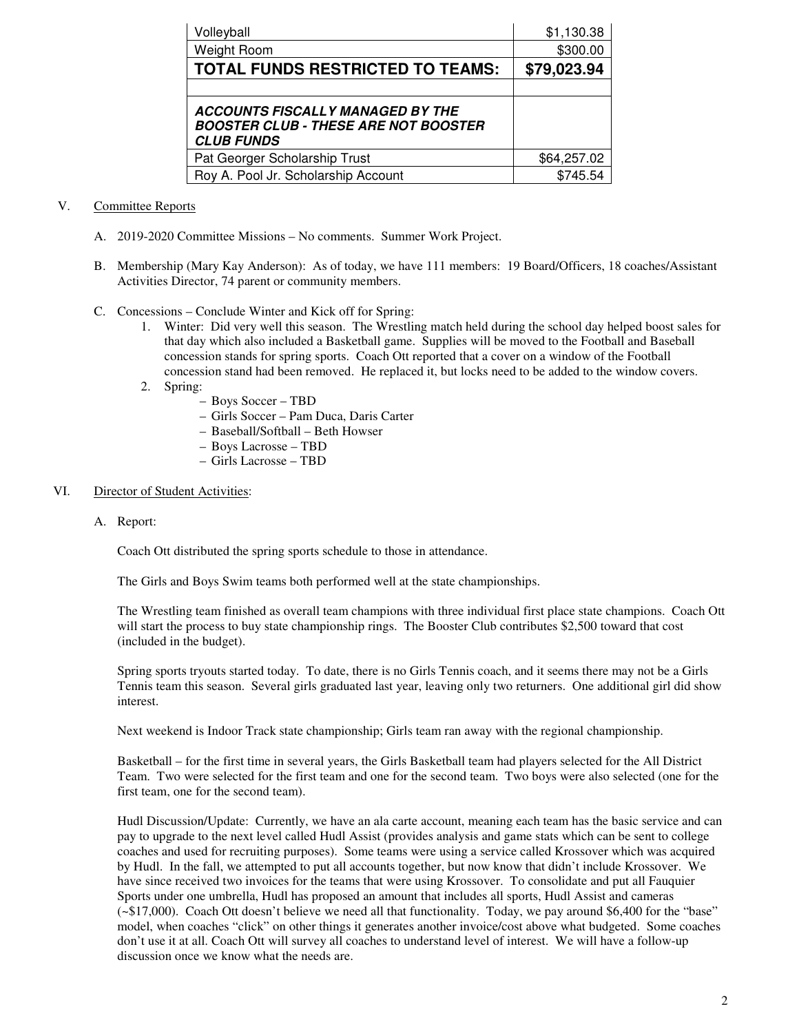| Volleyball                                                                                                  | \$1,130.38  |
|-------------------------------------------------------------------------------------------------------------|-------------|
| Weight Room                                                                                                 | \$300.00    |
| <b>TOTAL FUNDS RESTRICTED TO TEAMS:</b>                                                                     | \$79,023.94 |
|                                                                                                             |             |
| <b>ACCOUNTS FISCALLY MANAGED BY THE</b><br><b>BOOSTER CLUB - THESE ARE NOT BOOSTER</b><br><b>CLUB FUNDS</b> |             |
| Pat Georger Scholarship Trust                                                                               | \$64,257.02 |
| Roy A. Pool Jr. Scholarship Account                                                                         | \$745.54    |

#### V. Committee Reports

- A. 2019-2020 Committee Missions No comments. Summer Work Project.
- B. Membership (Mary Kay Anderson): As of today, we have 111 members: 19 Board/Officers, 18 coaches/Assistant Activities Director, 74 parent or community members.
- C. Concessions Conclude Winter and Kick off for Spring:
	- 1. Winter: Did very well this season. The Wrestling match held during the school day helped boost sales for that day which also included a Basketball game. Supplies will be moved to the Football and Baseball concession stands for spring sports. Coach Ott reported that a cover on a window of the Football concession stand had been removed. He replaced it, but locks need to be added to the window covers.
	- 2. Spring:
		- Boys Soccer TBD
		- Girls Soccer Pam Duca, Daris Carter
		- Baseball/Softball Beth Howser
		- Boys Lacrosse TBD
		- Girls Lacrosse TBD

#### VI. Director of Student Activities:

A. Report:

Coach Ott distributed the spring sports schedule to those in attendance.

The Girls and Boys Swim teams both performed well at the state championships.

The Wrestling team finished as overall team champions with three individual first place state champions. Coach Ott will start the process to buy state championship rings. The Booster Club contributes \$2,500 toward that cost (included in the budget).

Spring sports tryouts started today. To date, there is no Girls Tennis coach, and it seems there may not be a Girls Tennis team this season. Several girls graduated last year, leaving only two returners. One additional girl did show interest.

Next weekend is Indoor Track state championship; Girls team ran away with the regional championship.

Basketball – for the first time in several years, the Girls Basketball team had players selected for the All District Team. Two were selected for the first team and one for the second team. Two boys were also selected (one for the first team, one for the second team).

Hudl Discussion/Update: Currently, we have an ala carte account, meaning each team has the basic service and can pay to upgrade to the next level called Hudl Assist (provides analysis and game stats which can be sent to college coaches and used for recruiting purposes). Some teams were using a service called Krossover which was acquired by Hudl. In the fall, we attempted to put all accounts together, but now know that didn't include Krossover. We have since received two invoices for the teams that were using Krossover. To consolidate and put all Fauquier Sports under one umbrella, Hudl has proposed an amount that includes all sports, Hudl Assist and cameras (~\$17,000). Coach Ott doesn't believe we need all that functionality. Today, we pay around \$6,400 for the "base" model, when coaches "click" on other things it generates another invoice/cost above what budgeted. Some coaches don't use it at all. Coach Ott will survey all coaches to understand level of interest. We will have a follow-up discussion once we know what the needs are.